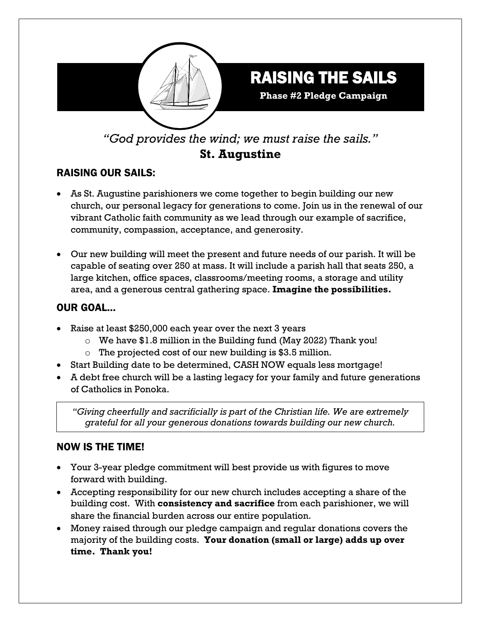

*"God provides the wind; we must raise the sails."*  **St. Augustine**

# RAISING OUR SAILS:

- As St. Augustine parishioners we come together to begin building our new church, our personal legacy for generations to come. Join us in the renewal of our vibrant Catholic faith community as we lead through our example of sacrifice, community, compassion, acceptance, and generosity.
- Our new building will meet the present and future needs of our parish. It will be capable of seating over 250 at mass. It will include a parish hall that seats 250, a large kitchen, office spaces, classrooms/meeting rooms, a storage and utility area, and a generous central gathering space. **Imagine the possibilities.**

### OUR GOAL…

- Raise at least \$250,000 each year over the next 3 years
	- o We have \$1.8 million in the Building fund (May 2022) Thank you!
	- $\circ$  The projected cost of our new building is \$3.5 million.
- Start Building date to be determined, CASH NOW equals less mortgage!
- A debt free church will be a lasting legacy for your family and future generations of Catholics in Ponoka.

*"Giving cheerfully and sacrificially is part of the Christian life. We are extremely grateful for all your generous donations towards building our new church.*

## NOW IS THE TIME!

- Your 3-year pledge commitment will best provide us with figures to move forward with building.
- Accepting responsibility for our new church includes accepting a share of the building cost. With **consistency and sacrifice** from each parishioner, we will share the financial burden across our entire population.
- Money raised through our pledge campaign and regular donations covers the majority of the building costs. **Your donation (small or large) adds up over time. Thank you!**